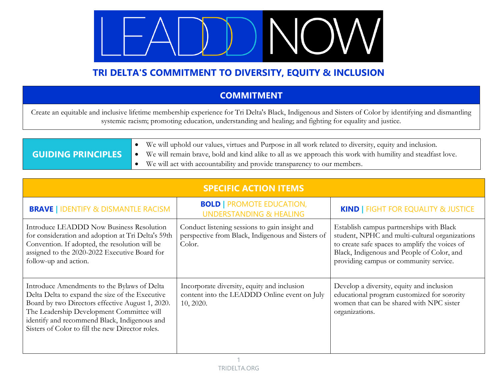

## **TRI DELTA'S COMMITMENT TO DIVERSITY, EQUITY & INCLUSION**

## **COMMITMENT**

Create an equitable and inclusive lifetime membership experience for Tri Delta's Black, Indigenous and Sisters of Color by identifying and dismantling systemic racism; promoting education, understanding and healing; and fighting for equality and justice.

|                           | We will uphold our values, virtues and Purpose in all work related to diversity, equity and inclusion.      |
|---------------------------|-------------------------------------------------------------------------------------------------------------|
| <b>GUIDING PRINCIPLES</b> | We will remain brave, bold and kind alike to all as we approach this work with humility and steadfast love. |
|                           | We will act with accountability and provide transparency to our members.                                    |

| <b>SPECIFIC ACTION ITEMS</b>                                                                                                                                                                                                                                                                        |                                                                                                               |                                                                                                                                                                                                                                      |  |  |  |  |  |
|-----------------------------------------------------------------------------------------------------------------------------------------------------------------------------------------------------------------------------------------------------------------------------------------------------|---------------------------------------------------------------------------------------------------------------|--------------------------------------------------------------------------------------------------------------------------------------------------------------------------------------------------------------------------------------|--|--|--|--|--|
| <b>BRAVE   IDENTIFY &amp; DISMANTLE RACISM</b>                                                                                                                                                                                                                                                      | <b>BOLD</b>   PROMOTE EDUCATION,<br><b>UNDERSTANDING &amp; HEALING</b>                                        | <b>KIND   FIGHT FOR EQUALITY &amp; JUSTICE</b>                                                                                                                                                                                       |  |  |  |  |  |
| Introduce LEADDD Now Business Resolution<br>for consideration and adoption at Tri Delta's 59th<br>Convention. If adopted, the resolution will be<br>assigned to the 2020-2022 Executive Board for<br>follow-up and action.                                                                          | Conduct listening sessions to gain insight and<br>perspective from Black, Indigenous and Sisters of<br>Color. | Establish campus partnerships with Black<br>student, NPHC and multi-cultural organizations<br>to create safe spaces to amplify the voices of<br>Black, Indigenous and People of Color, and<br>providing campus or community service. |  |  |  |  |  |
| Introduce Amendments to the Bylaws of Delta<br>Delta Delta to expand the size of the Executive<br>Board by two Directors effective August 1, 2020.<br>The Leadership Development Committee will<br>identify and recommend Black, Indigenous and<br>Sisters of Color to fill the new Director roles. | Incorporate diversity, equity and inclusion<br>content into the LEADDD Online event on July<br>10, 2020.      | Develop a diversity, equity and inclusion<br>educational program customized for sorority<br>women that can be shared with NPC sister<br>organizations.                                                                               |  |  |  |  |  |